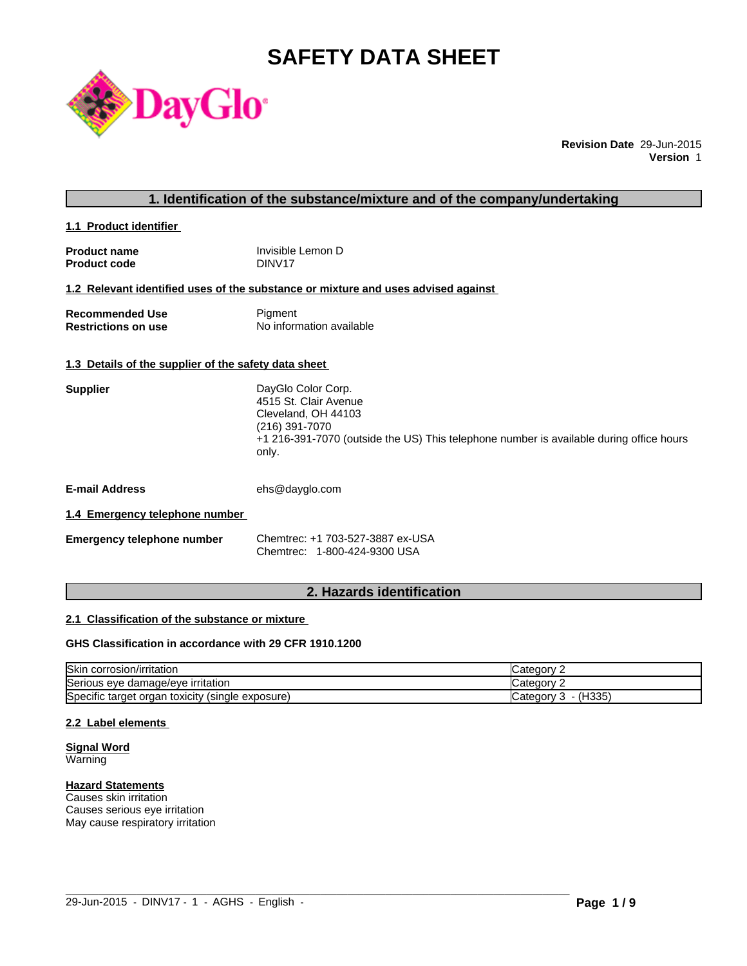# **SAFETY DATA SHEET**



**Revision Date** 29-Jun-2015 **Version** 1

### **1. Identification of the substance/mixture and of the company/undertaking**

**1.1 Product identifier** 

| <b>Product name</b> | Invisible Lemon D |
|---------------------|-------------------|
| <b>Product code</b> | DINV17            |

# **1.2 Relevant identified uses of the substance or mixture and uses advised against**

| <b>Recommended Use</b>     | Pigment                  |
|----------------------------|--------------------------|
| <b>Restrictions on use</b> | No information available |

### **1.3 Details of the supplier of the safety data sheet**

| DayGlo Color Corp.                                                                      |
|-----------------------------------------------------------------------------------------|
| 4515 St. Clair Avenue                                                                   |
| Cleveland, OH 44103                                                                     |
| (216) 391-7070                                                                          |
| +1 216-391-7070 (outside the US) This telephone number is available during office hours |
| only.                                                                                   |
|                                                                                         |

**E-mail Address** ehs@dayglo.com

### **1.4 Emergency telephone number**

**Emergency telephone number** Chemtrec: +1 703-527-3887 ex-USA Chemtrec: 1-800-424-9300 USA

# **2. Hazards identification**

### **2.1 Classification of the substance or mixture**

# **GHS Classification in accordance with 29 CFR 1910.1200**

| <b>Skin</b><br>corrosion/irritation                                        | Jategory 1              |
|----------------------------------------------------------------------------|-------------------------|
| `o<br>Serious eye damage/eye irritation                                    | √ategory:               |
| ∽<br>$\cdot$ .<br>Specific target organ toxicity,<br>exposure)<br>(single) | 'H335)<br>Category<br>ັ |

 $\_$  ,  $\_$  ,  $\_$  ,  $\_$  ,  $\_$  ,  $\_$  ,  $\_$  ,  $\_$  ,  $\_$  ,  $\_$  ,  $\_$  ,  $\_$  ,  $\_$  ,  $\_$  ,  $\_$  ,  $\_$  ,  $\_$  ,  $\_$  ,  $\_$  ,  $\_$  ,  $\_$  ,  $\_$  ,  $\_$  ,  $\_$  ,  $\_$  ,  $\_$  ,  $\_$  ,  $\_$  ,  $\_$  ,  $\_$  ,  $\_$  ,  $\_$  ,  $\_$  ,  $\_$  ,  $\_$  ,  $\_$  ,  $\_$  ,

### **2.2 Label elements**

# **Signal Word**

Warning

# **Hazard Statements**

Causes skin irritation Causes serious eye irritation May cause respiratory irritation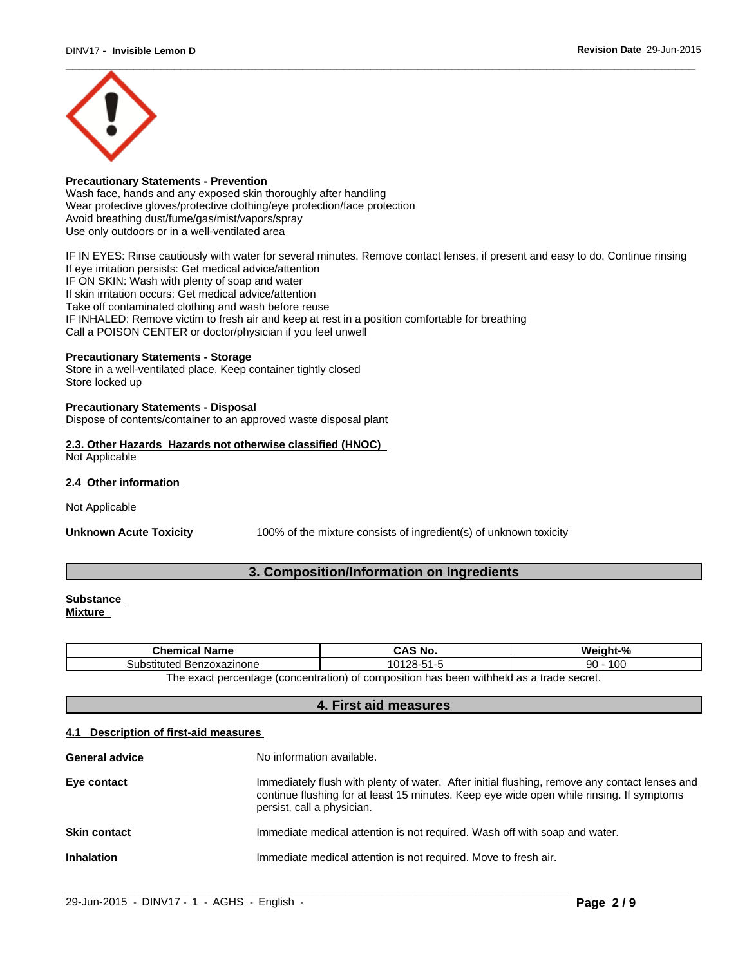

# **Precautionary Statements - Prevention**

Wash face, hands and any exposed skin thoroughly after handling Wear protective gloves/protective clothing/eye protection/face protection Avoid breathing dust/fume/gas/mist/vapors/spray Use only outdoors or in a well-ventilated area

IF IN EYES: Rinse cautiously with water for several minutes. Remove contact lenses, if present and easy to do. Continue rinsing If eye irritation persists: Get medical advice/attention IF ON SKIN: Wash with plenty of soap and water If skin irritation occurs: Get medical advice/attention Take off contaminated clothing and wash before reuse IF INHALED: Remove victim to fresh air and keep at rest in a position comfortable for breathing Call a POISON CENTER or doctor/physician if you feel unwell

### **Precautionary Statements - Storage**

Store in a well-ventilated place. Keep container tightly closed Store locked up

### **Precautionary Statements - Disposal**

Dispose of contents/container to an approved waste disposal plant

### **2.3. Other Hazards Hazards not otherwise classified (HNOC)** Not Applicable

**2.4 Other information** 

Not Applicable

**Unknown Acute Toxicity** 100% of the mixture consists of ingredient(s) of unknown toxicity

# **3. Composition/Information on Ingredients**

#### **Substance Mixture**

| <b>Chemical Name</b>                                                                                  | CAS No.    | Weiaht-%  |
|-------------------------------------------------------------------------------------------------------|------------|-----------|
| Substituted Benzoxazinone                                                                             | 10128-51-5 | 100<br>90 |
| n withheld as a trade secret.<br>The exact percentage (concentration)<br>f composition has been<br>0t |            |           |

# **4. First aid measures**

### **4.1 Description of first-aid measures**

| <b>General advice</b> | No information available.                                                                                                                                                                                               |
|-----------------------|-------------------------------------------------------------------------------------------------------------------------------------------------------------------------------------------------------------------------|
| Eye contact           | Immediately flush with plenty of water. After initial flushing, remove any contact lenses and<br>continue flushing for at least 15 minutes. Keep eye wide open while rinsing. If symptoms<br>persist, call a physician. |
| <b>Skin contact</b>   | Immediate medical attention is not required. Wash off with soap and water.                                                                                                                                              |
| <b>Inhalation</b>     | Immediate medical attention is not required. Move to fresh air.                                                                                                                                                         |
|                       |                                                                                                                                                                                                                         |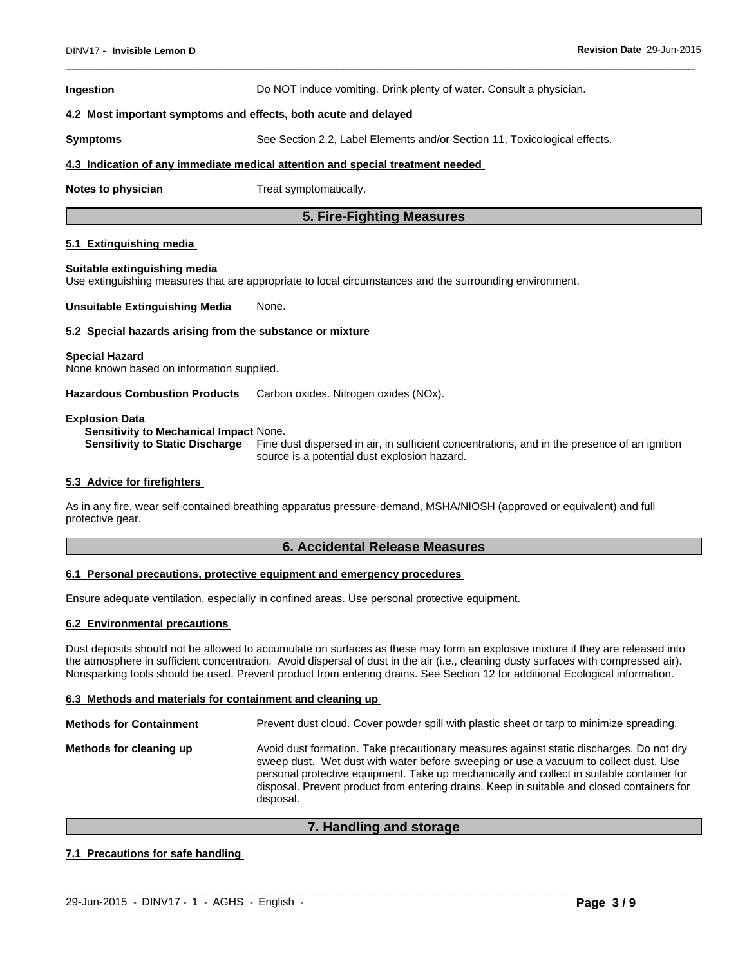### **Ingestion Do NOT** induce vomiting. Drink plenty of water. Consult a physician.

### **4.2 Most important symptoms and effects, both acute and delayed**

**Symptoms** See Section 2.2, Label Elements and/or Section 11, Toxicological effects.

### **4.3 Indication of any immediate medical attention and special treatment needed**

**Notes to physician** Treat symptomatically.

# **5. Fire-Fighting Measures**

### **5.1 Extinguishing media**

### **Suitable extinguishing media**

Use extinguishing measures that are appropriate to local circumstances and the surrounding environment.

**Unsuitable Extinguishing Media** None.

### **5.2 Special hazards arising from the substance or mixture**

### **Special Hazard**

None known based on information supplied.

**Hazardous Combustion Products** Carbon oxides. Nitrogen oxides (NOx).

### **Explosion Data**

**Sensitivity to Mechanical Impact** None.

**Sensitivity to Static Discharge** Fine dust dispersed in air, in sufficient concentrations, and in the presence of an ignition source is a potential dust explosion hazard.

### **5.3 Advice for firefighters**

As in any fire, wear self-contained breathing apparatus pressure-demand, MSHA/NIOSH (approved or equivalent) and full protective gear.

### **6. Accidental Release Measures**

### **6.1 Personal precautions, protective equipment and emergency procedures**

Ensure adequate ventilation, especially in confined areas. Use personal protective equipment.

### **6.2 Environmental precautions**

Dust deposits should not be allowed to accumulate on surfaces as these may form an explosive mixture if they are released into the atmosphere in sufficient concentration. Avoid dispersal of dust in the air (i.e., cleaning dusty surfaces with compressed air). Nonsparking tools should be used. Prevent product from entering drains. See Section 12 for additional Ecological information.

### **6.3 Methods and materials for containment and cleaning up**

| <b>Methods for Containment</b> | Prevent dust cloud. Cover powder spill with plastic sheet or tarp to minimize spreading.                                                                                                                                                                                                                                                                                                |
|--------------------------------|-----------------------------------------------------------------------------------------------------------------------------------------------------------------------------------------------------------------------------------------------------------------------------------------------------------------------------------------------------------------------------------------|
| Methods for cleaning up        | Avoid dust formation. Take precautionary measures against static discharges. Do not dry<br>sweep dust. Wet dust with water before sweeping or use a vacuum to collect dust. Use<br>personal protective equipment. Take up mechanically and collect in suitable container for<br>disposal. Prevent product from entering drains. Keep in suitable and closed containers for<br>disposal. |

# **7. Handling and storage**

 $\_$  ,  $\_$  ,  $\_$  ,  $\_$  ,  $\_$  ,  $\_$  ,  $\_$  ,  $\_$  ,  $\_$  ,  $\_$  ,  $\_$  ,  $\_$  ,  $\_$  ,  $\_$  ,  $\_$  ,  $\_$  ,  $\_$  ,  $\_$  ,  $\_$  ,  $\_$  ,  $\_$  ,  $\_$  ,  $\_$  ,  $\_$  ,  $\_$  ,  $\_$  ,  $\_$  ,  $\_$  ,  $\_$  ,  $\_$  ,  $\_$  ,  $\_$  ,  $\_$  ,  $\_$  ,  $\_$  ,  $\_$  ,  $\_$  ,

# **7.1 Precautions for safe handling**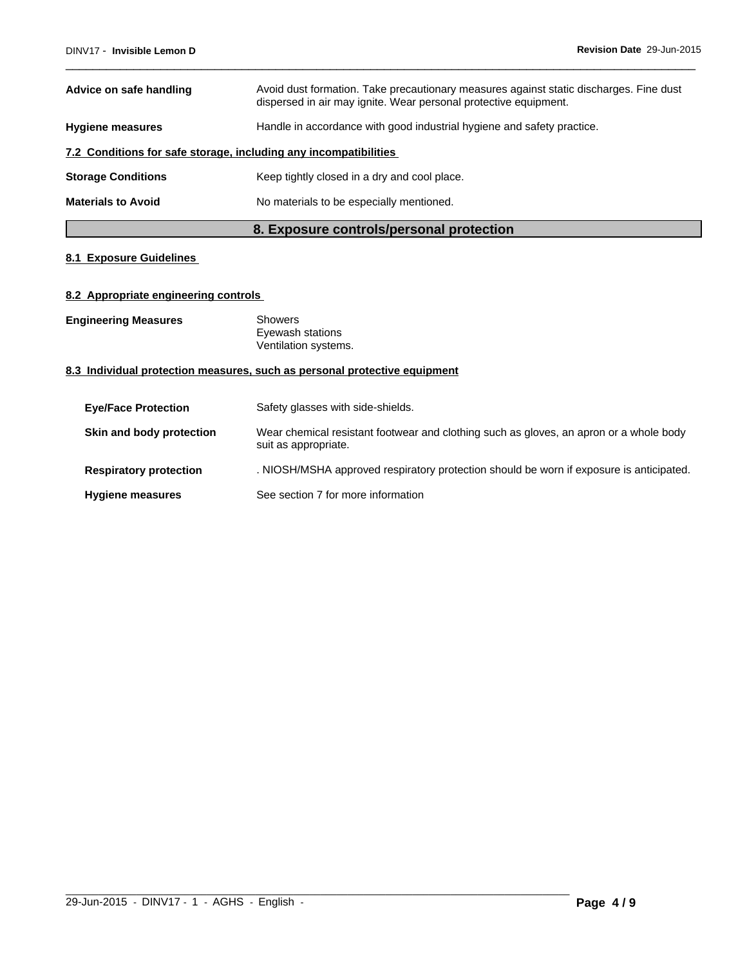| Advice on safe handling                                          | Avoid dust formation. Take precautionary measures against static discharges. Fine dust<br>dispersed in air may ignite. Wear personal protective equipment. |  |
|------------------------------------------------------------------|------------------------------------------------------------------------------------------------------------------------------------------------------------|--|
| <b>Hygiene measures</b>                                          | Handle in accordance with good industrial hygiene and safety practice.                                                                                     |  |
| 7.2 Conditions for safe storage, including any incompatibilities |                                                                                                                                                            |  |
| <b>Storage Conditions</b>                                        | Keep tightly closed in a dry and cool place.                                                                                                               |  |
| <b>Materials to Avoid</b>                                        | No materials to be especially mentioned.                                                                                                                   |  |

# **8. Exposure controls/personal protection**

# **8.1 Exposure Guidelines**

# **8.2 Appropriate engineering controls**

**Engineering Measures** Showers

Eyewash stations Ventilation systems.

# **8.3 Individual protection measures, such as personal protective equipment**

| <b>Eye/Face Protection</b>    | Safety glasses with side-shields.                                                                              |
|-------------------------------|----------------------------------------------------------------------------------------------------------------|
| Skin and body protection      | Wear chemical resistant footwear and clothing such as gloves, an apron or a whole body<br>suit as appropriate. |
| <b>Respiratory protection</b> | . NIOSH/MSHA approved respiratory protection should be worn if exposure is anticipated.                        |
| <b>Hygiene measures</b>       | See section 7 for more information                                                                             |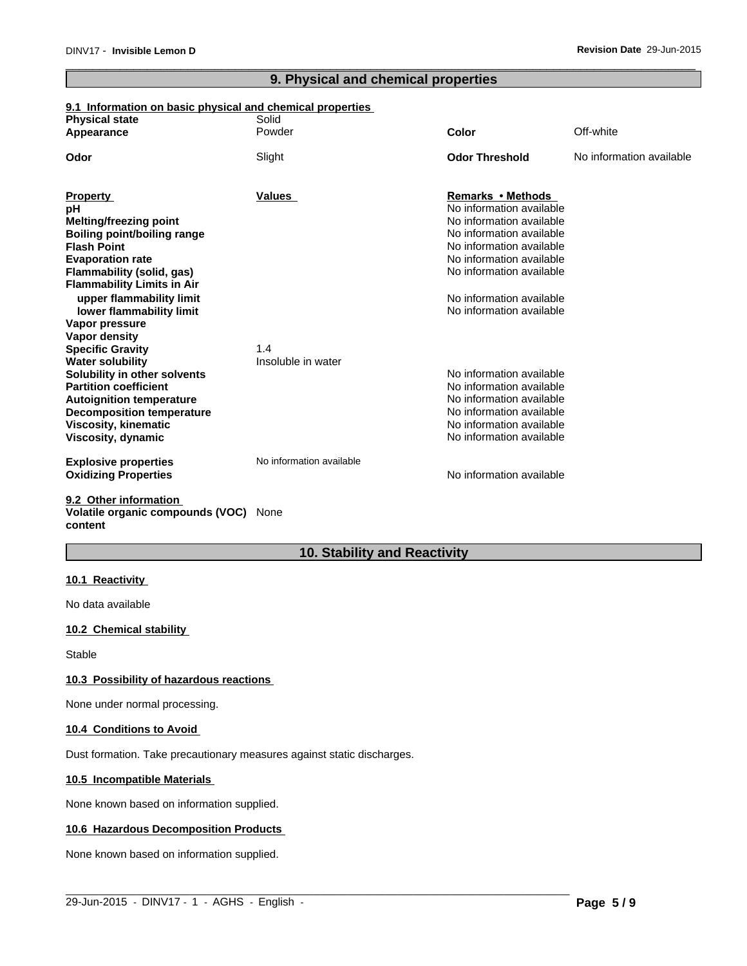# **9. Physical and chemical properties**

# **9.1 Information on basic physical and chemical properties**

| <b>Physical state</b>                                | Solid                    |                                                      |                          |
|------------------------------------------------------|--------------------------|------------------------------------------------------|--------------------------|
| Appearance                                           | Powder                   | Color                                                | Off-white                |
| Odor                                                 | Slight                   | <b>Odor Threshold</b>                                | No information available |
| <b>Property</b>                                      | Values                   | Remarks • Methods                                    |                          |
| pH                                                   |                          | No information available                             |                          |
| Melting/freezing point                               |                          | No information available                             |                          |
| <b>Boiling point/boiling range</b>                   |                          | No information available                             |                          |
| <b>Flash Point</b>                                   |                          | No information available                             |                          |
| <b>Evaporation rate</b>                              |                          | No information available<br>No information available |                          |
| Flammability (solid, gas)                            |                          |                                                      |                          |
| <b>Flammability Limits in Air</b>                    |                          | No information available                             |                          |
| upper flammability limit<br>lower flammability limit |                          | No information available                             |                          |
| Vapor pressure                                       |                          |                                                      |                          |
| <b>Vapor density</b>                                 |                          |                                                      |                          |
| <b>Specific Gravity</b>                              | 1.4                      |                                                      |                          |
| <b>Water solubility</b>                              | Insoluble in water       |                                                      |                          |
| Solubility in other solvents                         |                          | No information available                             |                          |
| <b>Partition coefficient</b>                         |                          | No information available                             |                          |
| <b>Autoignition temperature</b>                      |                          | No information available                             |                          |
| <b>Decomposition temperature</b>                     |                          | No information available                             |                          |
| <b>Viscosity, kinematic</b>                          |                          | No information available                             |                          |
| Viscosity, dynamic                                   |                          | No information available                             |                          |
| <b>Explosive properties</b>                          | No information available |                                                      |                          |
| <b>Oxidizing Properties</b>                          |                          | No information available                             |                          |
| 9.2 Other information                                |                          |                                                      |                          |
|                                                      |                          |                                                      |                          |

**Volatile organic compounds (VOC)** None **content**

# **10. Stability and Reactivity**

 $\_$  ,  $\_$  ,  $\_$  ,  $\_$  ,  $\_$  ,  $\_$  ,  $\_$  ,  $\_$  ,  $\_$  ,  $\_$  ,  $\_$  ,  $\_$  ,  $\_$  ,  $\_$  ,  $\_$  ,  $\_$  ,  $\_$  ,  $\_$  ,  $\_$  ,  $\_$  ,  $\_$  ,  $\_$  ,  $\_$  ,  $\_$  ,  $\_$  ,  $\_$  ,  $\_$  ,  $\_$  ,  $\_$  ,  $\_$  ,  $\_$  ,  $\_$  ,  $\_$  ,  $\_$  ,  $\_$  ,  $\_$  ,  $\_$  ,

# **10.1 Reactivity**

No data available

# **10.2 Chemical stability**

Stable

### **10.3 Possibility of hazardous reactions**

None under normal processing.

### **10.4 Conditions to Avoid**

Dust formation. Take precautionary measures against static discharges.

# **10.5 Incompatible Materials**

None known based on information supplied.

### **10.6 Hazardous Decomposition Products**

None known based on information supplied.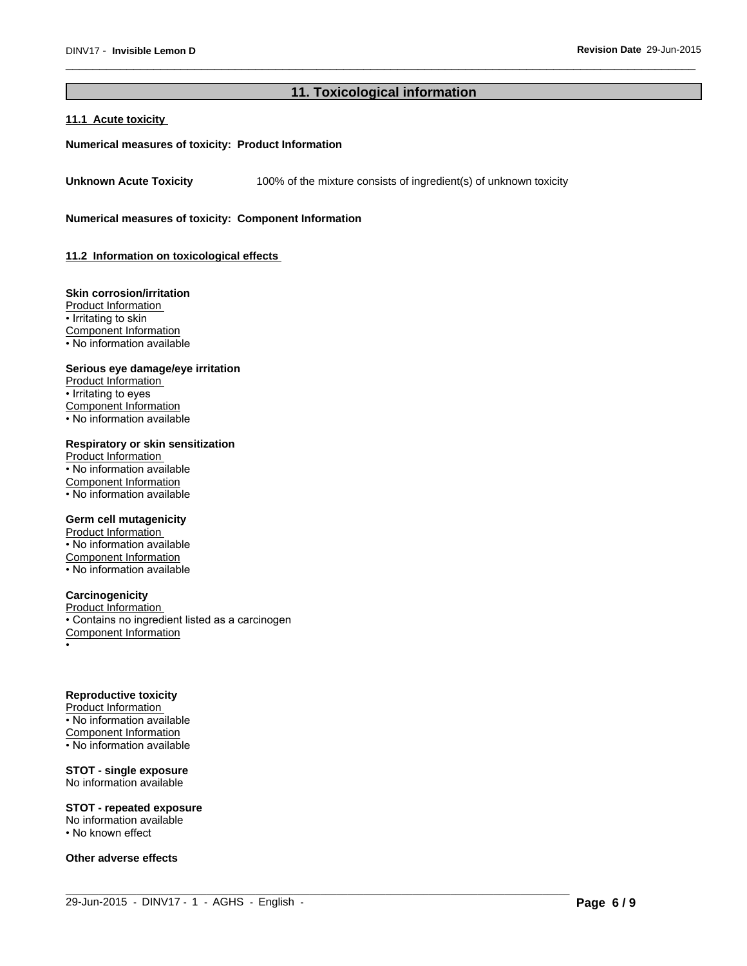# **11. Toxicological information**

 $\_$  ,  $\_$  ,  $\_$  ,  $\_$  ,  $\_$  ,  $\_$  ,  $\_$  ,  $\_$  ,  $\_$  ,  $\_$  ,  $\_$  ,  $\_$  ,  $\_$  ,  $\_$  ,  $\_$  ,  $\_$  ,  $\_$  ,  $\_$  ,  $\_$  ,  $\_$  ,  $\_$  ,  $\_$  ,  $\_$  ,  $\_$  ,  $\_$  ,  $\_$  ,  $\_$  ,  $\_$  ,  $\_$  ,  $\_$  ,  $\_$  ,  $\_$  ,  $\_$  ,  $\_$  ,  $\_$  ,  $\_$  ,  $\_$  ,

# **11.1 Acute toxicity**

### **Numerical measures of toxicity: Product Information**

Unknown Acute Toxicity 100% of the mixture consists of ingredient(s) of unknown toxicity

**Numerical measures of toxicity: Component Information**

**11.2 Information on toxicologicaleffects**

### **Skin corrosion/irritation**

Product Information • Irritating to skin Component Information • No information available

### **Serious eye damage/eye irritation**

Product Information • Irritating to eyes Component Information • No information available

# **Respiratory or skin sensitization**

Product Information • No information available Component Information • No information available

### **Germ cell mutagenicity**

Product Information • No information available Component Information • No information available

### **Carcinogenicity**

Product Information • Contains no ingredient listed as a carcinogen Component Information •

### **Reproductive toxicity**

Product Information • No information available Component Information • No information available

# **STOT - single exposure**

No information available

### **STOT - repeated exposure**

No information available

• No known effect

**Other adverse effects**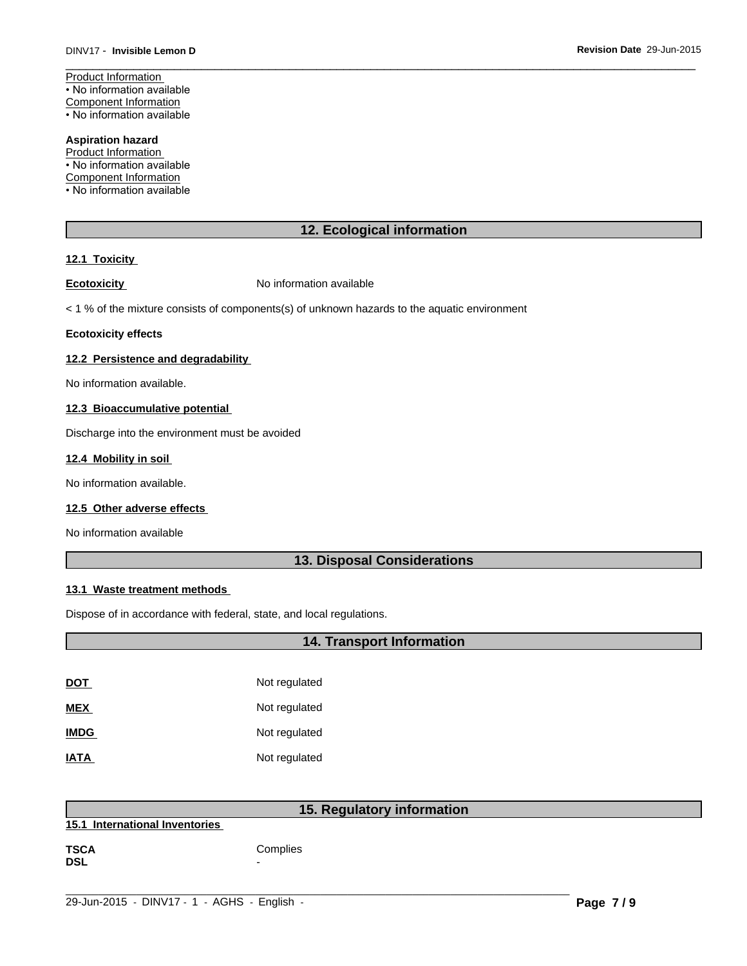Product Information • No information available Component Information • No information available

# **Aspiration hazard**

Product Information • No information available

Component Information

• No information available

# **12. Ecological information**

# **12.1 Toxicity**

**Ecotoxicity No information available** 

 $<$  1 % of the mixture consists of components(s) of unknown hazards to the aquatic environment

### **Ecotoxicity effects**

### **12.2 Persistence and degradability**

No information available.

# **12.3 Bioaccumulative potential**

Discharge into the environment must be avoided

### **12.4 Mobility in soil**

No information available.

### **12.5 Other adverse effects**

No information available

# **13. Disposal Considerations**

# **13.1 Waste treatment methods**

Dispose of in accordance with federal, state, and local regulations.

| 14. Transport Information |               |
|---------------------------|---------------|
|                           |               |
| <b>DOT</b>                | Not regulated |
| <b>MEX</b>                | Not regulated |
| <b>IMDG</b>               | Not regulated |
| <b>IATA</b>               | Not regulated |
|                           |               |

| 15. Regulatory information     |          |
|--------------------------------|----------|
| 15.1 International Inventories |          |
| <b>TSCA</b><br><b>DSL</b>      | Complies |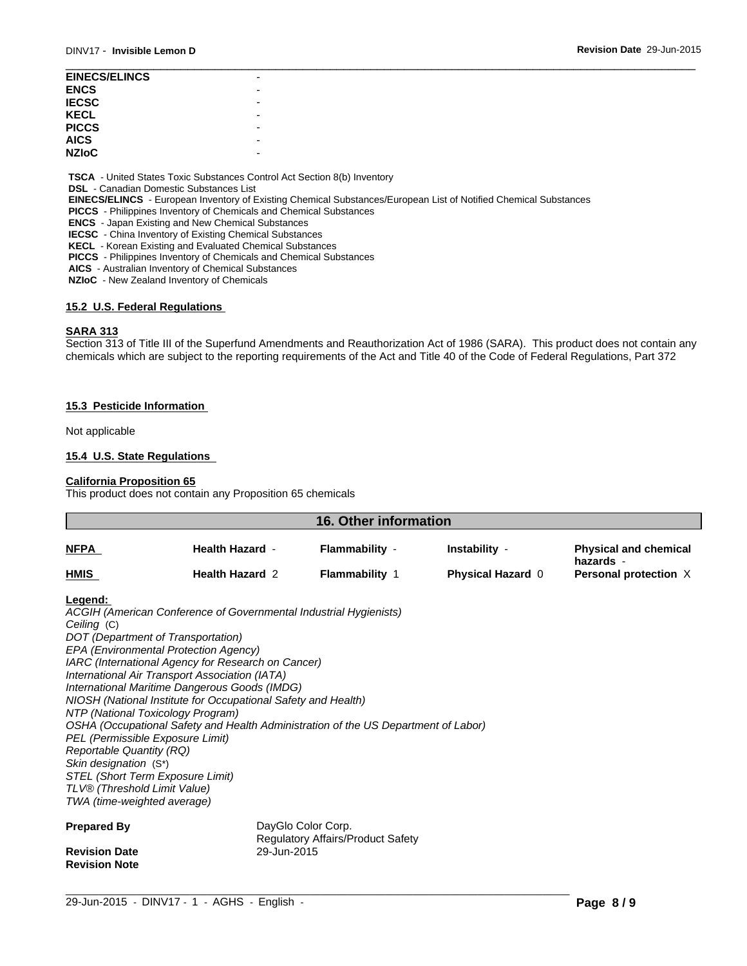| <b>EINECS/ELINCS</b> |   |  |
|----------------------|---|--|
| <b>ENCS</b>          |   |  |
| <b>IECSC</b>         |   |  |
| <b>KECL</b>          |   |  |
| <b>PICCS</b>         |   |  |
| <b>AICS</b>          | - |  |
| <b>NZIoC</b>         |   |  |
|                      |   |  |

 **TSCA** - United States Toxic Substances Control Act Section 8(b) Inventory

 **DSL** - Canadian Domestic Substances List

 **EINECS/ELINCS** - European Inventory of Existing Chemical Substances/European List of Notified Chemical Substances

 **PICCS** - Philippines Inventory of Chemicals and Chemical Substances

 **ENCS** - Japan Existing and New Chemical Substances

 **IECSC** - China Inventory of Existing Chemical Substances

 **KECL** - Korean Existing and Evaluated Chemical Substances

 **PICCS** - Philippines Inventory of Chemicals and Chemical Substances

 **AICS** - Australian Inventory of Chemical Substances

 **NZIoC** - New Zealand Inventory of Chemicals

## **15.2 U.S. Federal Regulations**

### **SARA 313**

Section 313 of Title III of the Superfund Amendments and Reauthorization Act of 1986 (SARA). This product does not contain any chemicals which are subject to the reporting requirements of the Act and Title 40 of the Code of Federal Regulations, Part 372

### **15.3 Pesticide Information**

Not applicable

### **15.4 U.S. State Regulations**

### **California Proposition 65**

This product does not contain any Proposition 65 chemicals

| <b>16. Other information</b>       |                                                                                                      |                                                                |                          |                                           |  |  |
|------------------------------------|------------------------------------------------------------------------------------------------------|----------------------------------------------------------------|--------------------------|-------------------------------------------|--|--|
| <b>NFPA</b><br>HMIS                | <b>Health Hazard -</b><br><b>Health Hazard 2</b>                                                     | Flammability -                                                 | Instability -            | <b>Physical and chemical</b><br>hazards - |  |  |
|                                    |                                                                                                      | <b>Flammability 1</b>                                          | <b>Physical Hazard 0</b> | Personal protection X                     |  |  |
| Legend:                            |                                                                                                      |                                                                |                          |                                           |  |  |
|                                    | ACGIH (American Conference of Governmental Industrial Hygienists)                                    |                                                                |                          |                                           |  |  |
| Ceiling (C)                        |                                                                                                      |                                                                |                          |                                           |  |  |
| DOT (Department of Transportation) |                                                                                                      |                                                                |                          |                                           |  |  |
|                                    | EPA (Environmental Protection Agency)                                                                |                                                                |                          |                                           |  |  |
|                                    | IARC (International Agency for Research on Cancer)<br>International Air Transport Association (IATA) |                                                                |                          |                                           |  |  |
|                                    | International Maritime Dangerous Goods (IMDG)                                                        |                                                                |                          |                                           |  |  |
|                                    | NIOSH (National Institute for Occupational Safety and Health)                                        |                                                                |                          |                                           |  |  |
| NTP (National Toxicology Program)  |                                                                                                      |                                                                |                          |                                           |  |  |
|                                    | OSHA (Occupational Safety and Health Administration of the US Department of Labor)                   |                                                                |                          |                                           |  |  |
| PEL (Permissible Exposure Limit)   |                                                                                                      |                                                                |                          |                                           |  |  |
| <b>Reportable Quantity (RQ)</b>    |                                                                                                      |                                                                |                          |                                           |  |  |
| Skin designation (S*)              |                                                                                                      |                                                                |                          |                                           |  |  |
| STEL (Short Term Exposure Limit)   |                                                                                                      |                                                                |                          |                                           |  |  |
| TLV® (Threshold Limit Value)       |                                                                                                      |                                                                |                          |                                           |  |  |
| TWA (time-weighted average)        |                                                                                                      |                                                                |                          |                                           |  |  |
| <b>Prepared By</b>                 |                                                                                                      | DayGlo Color Corp.<br><b>Regulatory Affairs/Product Safety</b> |                          |                                           |  |  |
| <b>Revision Date</b>               | 29-Jun-2015                                                                                          |                                                                |                          |                                           |  |  |
| <b>Revision Note</b>               |                                                                                                      |                                                                |                          |                                           |  |  |